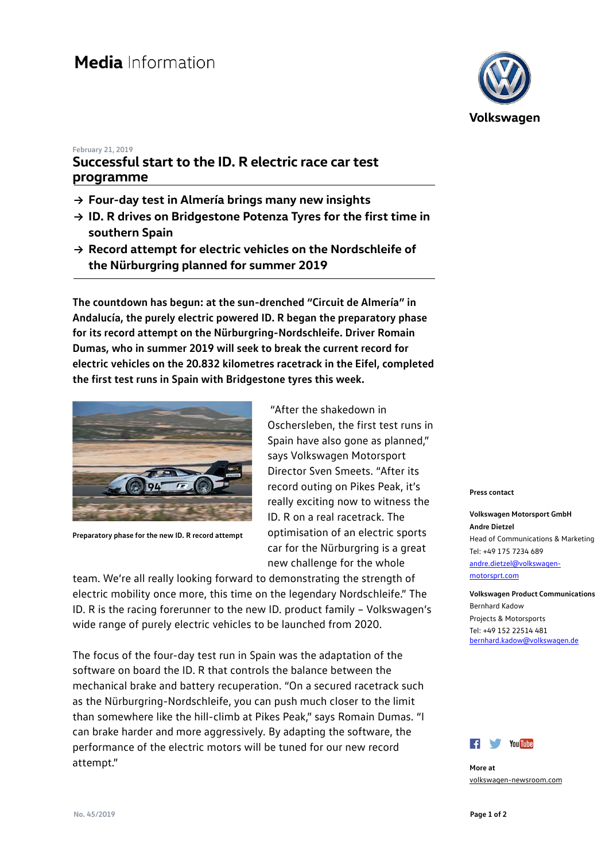### **February 21, 2019**

# **Successful start to the ID. R electric race car test programme**

- **→ Four-day test in Almería brings many new insights**
- **→ ID. R drives on Bridgestone Potenza Tyres for the first time in southern Spain**
- **→ Record attempt for electric vehicles on the Nordschleife of the Nürburgring planned for summer 2019**

**The countdown has begun: at the sun-drenched "Circuit de Almería" in Andalucía, the purely electric powered ID. R began the preparatory phase for its record attempt on the Nürburgring-Nordschleife. Driver Romain Dumas, who in summer 2019 will seek to break the current record for electric vehicles on the 20.832 kilometres racetrack in the Eifel, completed the first test runs in Spain with Bridgestone tyres this week.**



**Preparatory phase for the new ID. R record attempt**

"After the shakedown in Oschersleben, the first test runs in Spain have also gone as planned," says Volkswagen Motorsport Director Sven Smeets. "After its record outing on Pikes Peak, it's really exciting now to witness the ID. R on a real racetrack. The optimisation of an electric sports car for the Nürburgring is a great new challenge for the whole

team. We're all really looking forward to demonstrating the strength of electric mobility once more, this time on the legendary Nordschleife." The ID. R is the racing forerunner to the new ID. product family – Volkswagen's wide range of purely electric vehicles to be launched from 2020.

The focus of the four-day test run in Spain was the adaptation of the software on board the ID. R that controls the balance between the mechanical brake and battery recuperation. "On a secured racetrack such as the Nürburgring-Nordschleife, you can push much closer to the limit than somewhere like the hill-climb at Pikes Peak," says Romain Dumas. "I can brake harder and more aggressively. By adapting the software, the performance of the electric motors will be tuned for our new record attempt."



#### **Press contact**

**Volkswagen Motorsport GmbH Andre Dietzel** Head of Communications & Marketing Tel: +49 175 7234 689 [andre.dietzel@volkswagen](mailto:andre.dietzel@volkswagen-motorsprt.com)[motorsprt.com](mailto:andre.dietzel@volkswagen-motorsprt.com)

**Volkswagen Product Communications** Bernhard Kadow Projects & Motorsports Tel: +49 152 22514 481 [bernhard.kadow@volkswagen.de](mailto:bernhard.kadow@volkswagen.de)



**More at** [volkswagen-newsroom.com](https://www.volkswagen-media-services.com/)